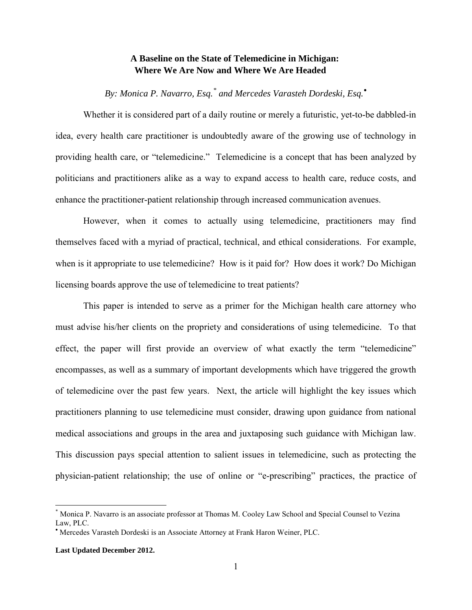# **A Baseline on the State of Telemedicine in Michigan: Where We Are Now and Where We Are Headed**

*By: Monica P. Navarro, Esq.[\\*](#page-0-0) and Mercedes Varasteh Dordeski, Esq.*[•](#page-0-1)

Whether it is considered part of a daily routine or merely a futuristic, yet-to-be dabbled-in idea, every health care practitioner is undoubtedly aware of the growing use of technology in providing health care, or "telemedicine." Telemedicine is a concept that has been analyzed by politicians and practitioners alike as a way to expand access to health care, reduce costs, and enhance the practitioner-patient relationship through increased communication avenues.

However, when it comes to actually using telemedicine, practitioners may find themselves faced with a myriad of practical, technical, and ethical considerations. For example, when is it appropriate to use telemedicine? How is it paid for? How does it work? Do Michigan licensing boards approve the use of telemedicine to treat patients?

This paper is intended to serve as a primer for the Michigan health care attorney who must advise his/her clients on the propriety and considerations of using telemedicine. To that effect, the paper will first provide an overview of what exactly the term "telemedicine" encompasses, as well as a summary of important developments which have triggered the growth of telemedicine over the past few years. Next, the article will highlight the key issues which practitioners planning to use telemedicine must consider, drawing upon guidance from national medical associations and groups in the area and juxtaposing such guidance with Michigan law. This discussion pays special attention to salient issues in telemedicine, such as protecting the physician-patient relationship; the use of online or "e-prescribing" practices, the practice of

#### **Last Updated December 2012.**

<span id="page-0-0"></span><sup>\*</sup> Monica P. Navarro is an associate professor at Thomas M. Cooley Law School and Special Counsel to Vezina Law, PLC.

<span id="page-0-1"></span><sup>•</sup> Mercedes Varasteh Dordeski is an Associate Attorney at Frank Haron Weiner, PLC.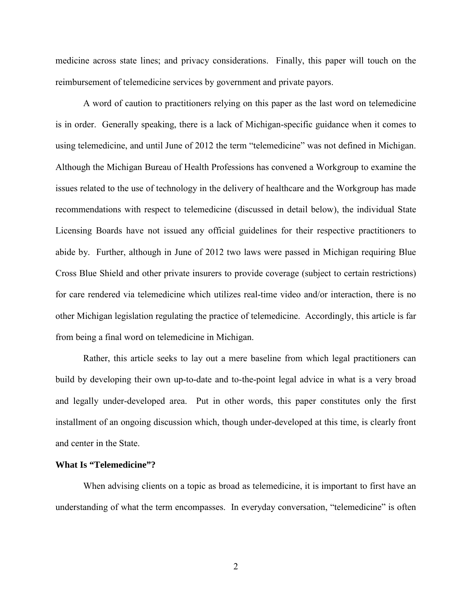medicine across state lines; and privacy considerations. Finally, this paper will touch on the reimbursement of telemedicine services by government and private payors.

A word of caution to practitioners relying on this paper as the last word on telemedicine is in order. Generally speaking, there is a lack of Michigan-specific guidance when it comes to using telemedicine, and until June of 2012 the term "telemedicine" was not defined in Michigan. Although the Michigan Bureau of Health Professions has convened a Workgroup to examine the issues related to the use of technology in the delivery of healthcare and the Workgroup has made recommendations with respect to telemedicine (discussed in detail below), the individual State Licensing Boards have not issued any official guidelines for their respective practitioners to abide by. Further, although in June of 2012 two laws were passed in Michigan requiring Blue Cross Blue Shield and other private insurers to provide coverage (subject to certain restrictions) for care rendered via telemedicine which utilizes real-time video and/or interaction, there is no other Michigan legislation regulating the practice of telemedicine. Accordingly, this article is far from being a final word on telemedicine in Michigan.

Rather, this article seeks to lay out a mere baseline from which legal practitioners can build by developing their own up-to-date and to-the-point legal advice in what is a very broad and legally under-developed area. Put in other words, this paper constitutes only the first installment of an ongoing discussion which, though under-developed at this time, is clearly front and center in the State.

### **What Is "Telemedicine"?**

When advising clients on a topic as broad as telemedicine, it is important to first have an understanding of what the term encompasses. In everyday conversation, "telemedicine" is often

2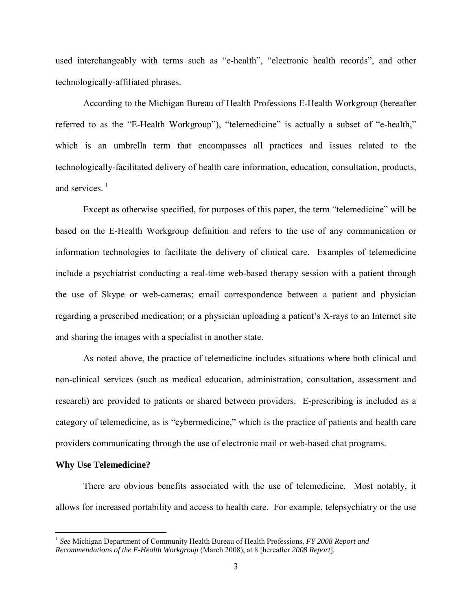used interchangeably with terms such as "e-health", "electronic health records", and other technologically-affiliated phrases.

According to the Michigan Bureau of Health Professions E-Health Workgroup (hereafter referred to as the "E-Health Workgroup"), "telemedicine" is actually a subset of "e-health," which is an umbrella term that encompasses all practices and issues related to the technologically-facilitated delivery of health care information, education, consultation, products, and services.<sup>[1](#page-2-0)</sup>

Except as otherwise specified, for purposes of this paper, the term "telemedicine" will be based on the E-Health Workgroup definition and refers to the use of any communication or information technologies to facilitate the delivery of clinical care. Examples of telemedicine include a psychiatrist conducting a real-time web-based therapy session with a patient through the use of Skype or web-cameras; email correspondence between a patient and physician regarding a prescribed medication; or a physician uploading a patient's X-rays to an Internet site and sharing the images with a specialist in another state.

As noted above, the practice of telemedicine includes situations where both clinical and non-clinical services (such as medical education, administration, consultation, assessment and research) are provided to patients or shared between providers. E-prescribing is included as a category of telemedicine, as is "cybermedicine," which is the practice of patients and health care providers communicating through the use of electronic mail or web-based chat programs.

### **Why Use Telemedicine?**

 $\overline{a}$ 

There are obvious benefits associated with the use of telemedicine. Most notably, it allows for increased portability and access to health care. For example, telepsychiatry or the use

<span id="page-2-0"></span><sup>1</sup> *See* Michigan Department of Community Health Bureau of Health Professions, *FY 2008 Report and Recommendations of the E-Health Workgroup* (March 2008), at 8 [hereafter *2008 Report*].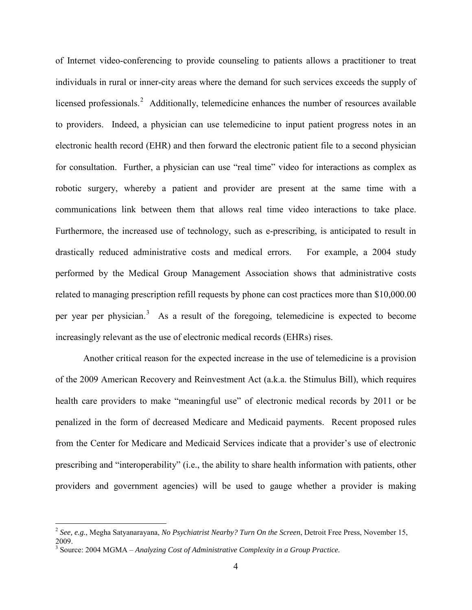of Internet video-conferencing to provide counseling to patients allows a practitioner to treat individuals in rural or inner-city areas where the demand for such services exceeds the supply of licensed professionals.<sup>[2](#page-3-0)</sup> Additionally, telemedicine enhances the number of resources available to providers. Indeed, a physician can use telemedicine to input patient progress notes in an electronic health record (EHR) and then forward the electronic patient file to a second physician for consultation. Further, a physician can use "real time" video for interactions as complex as robotic surgery, whereby a patient and provider are present at the same time with a communications link between them that allows real time video interactions to take place. Furthermore, the increased use of technology, such as e-prescribing, is anticipated to result in drastically reduced administrative costs and medical errors. For example, a 2004 study performed by the Medical Group Management Association shows that administrative costs related to managing prescription refill requests by phone can cost practices more than \$10,000.00 per year per physician.<sup>[3](#page-3-1)</sup> As a result of the foregoing, telemedicine is expected to become increasingly relevant as the use of electronic medical records (EHRs) rises.

Another critical reason for the expected increase in the use of telemedicine is a provision of the 2009 American Recovery and Reinvestment Act (a.k.a. the Stimulus Bill), which requires health care providers to make "meaningful use" of electronic medical records by 2011 or be penalized in the form of decreased Medicare and Medicaid payments. Recent proposed rules from the Center for Medicare and Medicaid Services indicate that a provider's use of electronic prescribing and "interoperability" (i.e., the ability to share health information with patients, other providers and government agencies) will be used to gauge whether a provider is making

<span id="page-3-0"></span><sup>2</sup> *See, e.g.*, Megha Satyanarayana, *No Psychiatrist Nearby? Turn On the Screen*, Detroit Free Press, November 15, 2009.

<span id="page-3-1"></span><sup>3</sup> Source: 2004 MGMA – *Analyzing Cost of Administrative Complexity in a Group Practice.*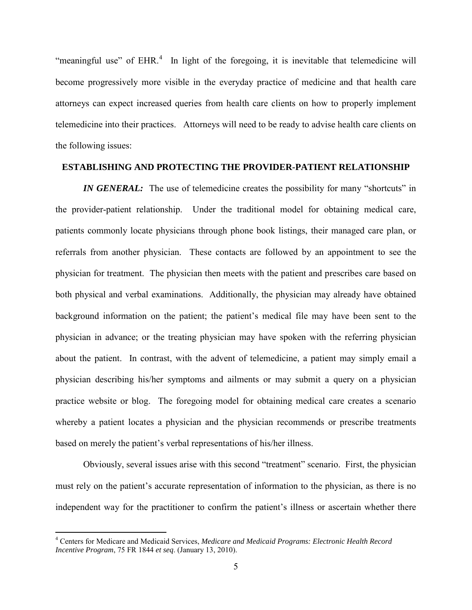"meaningful use" of  $EHR$ .<sup>[4](#page-4-0)</sup> In light of the foregoing, it is inevitable that telemedicine will become progressively more visible in the everyday practice of medicine and that health care attorneys can expect increased queries from health care clients on how to properly implement telemedicine into their practices. Attorneys will need to be ready to advise health care clients on the following issues:

# **ESTABLISHING AND PROTECTING THE PROVIDER-PATIENT RELATIONSHIP**

*IN GENERAL:* The use of telemedicine creates the possibility for many "shortcuts" in the provider-patient relationship. Under the traditional model for obtaining medical care, patients commonly locate physicians through phone book listings, their managed care plan, or referrals from another physician. These contacts are followed by an appointment to see the physician for treatment. The physician then meets with the patient and prescribes care based on both physical and verbal examinations. Additionally, the physician may already have obtained background information on the patient; the patient's medical file may have been sent to the physician in advance; or the treating physician may have spoken with the referring physician about the patient. In contrast, with the advent of telemedicine, a patient may simply email a physician describing his/her symptoms and ailments or may submit a query on a physician practice website or blog. The foregoing model for obtaining medical care creates a scenario whereby a patient locates a physician and the physician recommends or prescribe treatments based on merely the patient's verbal representations of his/her illness.

Obviously, several issues arise with this second "treatment" scenario. First, the physician must rely on the patient's accurate representation of information to the physician, as there is no independent way for the practitioner to confirm the patient's illness or ascertain whether there

<span id="page-4-0"></span><sup>4</sup> Centers for Medicare and Medicaid Services, *Medicare and Medicaid Programs: Electronic Health Record Incentive Program*, 75 FR 1844 *et seq*. (January 13, 2010).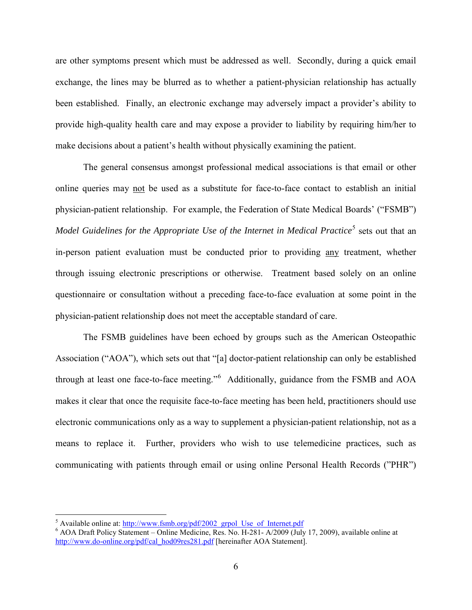are other symptoms present which must be addressed as well. Secondly, during a quick email exchange, the lines may be blurred as to whether a patient-physician relationship has actually been established. Finally, an electronic exchange may adversely impact a provider's ability to provide high-quality health care and may expose a provider to liability by requiring him/her to make decisions about a patient's health without physically examining the patient.

The general consensus amongst professional medical associations is that email or other online queries may not be used as a substitute for face-to-face contact to establish an initial physician-patient relationship. For example, the Federation of State Medical Boards' ("FSMB") Model Guidelines for the Appropriate Use of the Internet in Medical Practice<sup>[5](#page-5-0)</sup> sets out that an in-person patient evaluation must be conducted prior to providing any treatment, whether through issuing electronic prescriptions or otherwise. Treatment based solely on an online questionnaire or consultation without a preceding face-to-face evaluation at some point in the physician-patient relationship does not meet the acceptable standard of care.

The FSMB guidelines have been echoed by groups such as the American Osteopathic Association ("AOA"), which sets out that "[a] doctor-patient relationship can only be established through at least one face-to-face meeting."<sup>[6](#page-5-1)</sup> Additionally, guidance from the FSMB and AOA makes it clear that once the requisite face-to-face meeting has been held, practitioners should use electronic communications only as a way to supplement a physician-patient relationship, not as a means to replace it. Further, providers who wish to use telemedicine practices, such as communicating with patients through email or using online Personal Health Records ("PHR")

<sup>&</sup>lt;sup>5</sup> Available online at: [http://www.fsmb.org/pdf/2002\\_grpol\\_Use\\_of\\_Internet.pdf](http://www.fsmb.org/pdf/2002_grpol_Use_of_Internet.pdf)

<span id="page-5-1"></span><span id="page-5-0"></span><sup>&</sup>lt;sup>6</sup> AOA Draft Policy Statement – Online Medicine, Res. No. H-281- A/2009 (July 17, 2009), available online at [http://www.do-online.org/pdf/cal\\_hod09res281.pdf](http://www.do-online.org/pdf/cal_hod09res281.pdf) [hereinafter AOA Statement].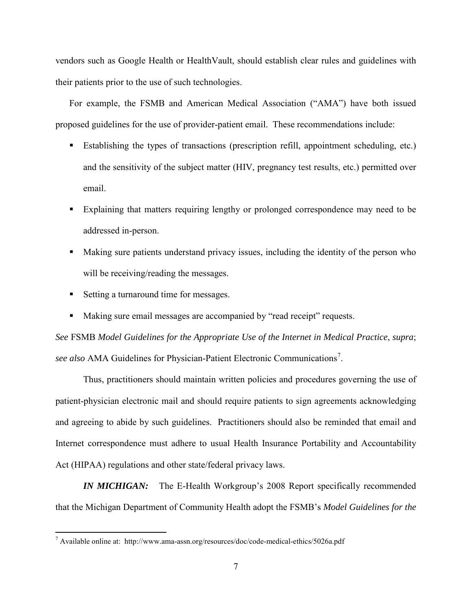vendors such as Google Health or HealthVault, should establish clear rules and guidelines with their patients prior to the use of such technologies.

For example, the FSMB and American Medical Association ("AMA") have both issued proposed guidelines for the use of provider-patient email. These recommendations include:

- Establishing the types of transactions (prescription refill, appointment scheduling, etc.) and the sensitivity of the subject matter (HIV, pregnancy test results, etc.) permitted over email.
- Explaining that matters requiring lengthy or prolonged correspondence may need to be addressed in-person.
- Making sure patients understand privacy issues, including the identity of the person who will be receiving/reading the messages.
- Setting a turnaround time for messages.

 $\overline{a}$ 

Making sure email messages are accompanied by "read receipt" requests.

*See* FSMB *Model Guidelines for the Appropriate Use of the Internet in Medical Practice*, *supra*; see also AMA Guidelines for Physician-Patient Electronic Communications<sup>[7](#page-6-0)</sup>.

Thus, practitioners should maintain written policies and procedures governing the use of patient-physician electronic mail and should require patients to sign agreements acknowledging and agreeing to abide by such guidelines. Practitioners should also be reminded that email and Internet correspondence must adhere to usual Health Insurance Portability and Accountability Act (HIPAA) regulations and other state/federal privacy laws.

*IN MICHIGAN:* The E-Health Workgroup's 2008 Report specifically recommended that the Michigan Department of Community Health adopt the FSMB's *Model Guidelines for the* 

<span id="page-6-0"></span> $^7$  Available online at: http://www.ama-assn.org/resources/doc/code-medical-ethics/5026a.pdf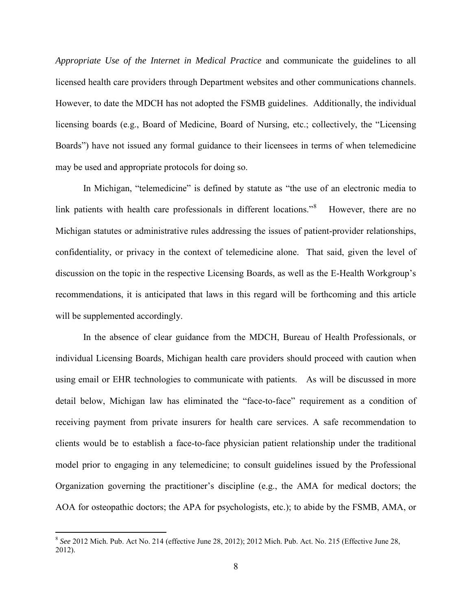*Appropriate Use of the Internet in Medical Practice* and communicate the guidelines to all licensed health care providers through Department websites and other communications channels. However, to date the MDCH has not adopted the FSMB guidelines. Additionally, the individual licensing boards (e.g., Board of Medicine, Board of Nursing, etc.; collectively, the "Licensing Boards") have not issued any formal guidance to their licensees in terms of when telemedicine may be used and appropriate protocols for doing so.

In Michigan, "telemedicine" is defined by statute as "the use of an electronic media to link patients with health care professionals in different locations."<sup>[8](#page-7-0)</sup> However, there are no Michigan statutes or administrative rules addressing the issues of patient-provider relationships, confidentiality, or privacy in the context of telemedicine alone. That said, given the level of discussion on the topic in the respective Licensing Boards, as well as the E-Health Workgroup's recommendations, it is anticipated that laws in this regard will be forthcoming and this article will be supplemented accordingly.

In the absence of clear guidance from the MDCH, Bureau of Health Professionals, or individual Licensing Boards, Michigan health care providers should proceed with caution when using email or EHR technologies to communicate with patients. As will be discussed in more detail below, Michigan law has eliminated the "face-to-face" requirement as a condition of receiving payment from private insurers for health care services. A safe recommendation to clients would be to establish a face-to-face physician patient relationship under the traditional model prior to engaging in any telemedicine; to consult guidelines issued by the Professional Organization governing the practitioner's discipline (e.g., the AMA for medical doctors; the AOA for osteopathic doctors; the APA for psychologists, etc.); to abide by the FSMB, AMA, or

<span id="page-7-0"></span><sup>8</sup> *See* 2012 Mich. Pub. Act No. 214 (effective June 28, 2012); 2012 Mich. Pub. Act. No. 215 (Effective June 28, 2012).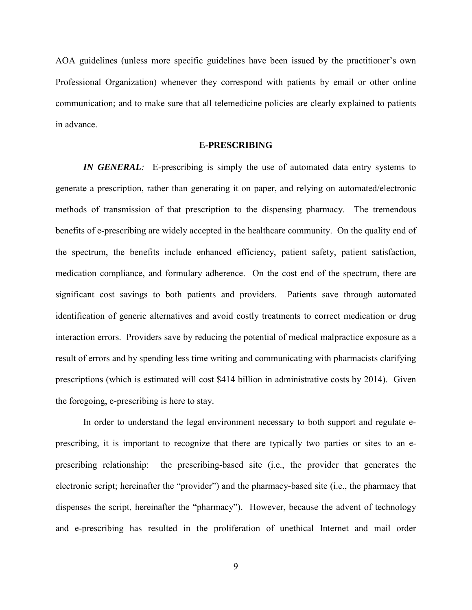AOA guidelines (unless more specific guidelines have been issued by the practitioner's own Professional Organization) whenever they correspond with patients by email or other online communication; and to make sure that all telemedicine policies are clearly explained to patients in advance.

# **E-PRESCRIBING**

*IN GENERAL*: E-prescribing is simply the use of automated data entry systems to generate a prescription, rather than generating it on paper, and relying on automated/electronic methods of transmission of that prescription to the dispensing pharmacy. The tremendous benefits of e-prescribing are widely accepted in the healthcare community. On the quality end of the spectrum, the benefits include enhanced efficiency, patient safety, patient satisfaction, medication compliance, and formulary adherence. On the cost end of the spectrum, there are significant cost savings to both patients and providers. Patients save through automated identification of generic alternatives and avoid costly treatments to correct medication or drug interaction errors. Providers save by reducing the potential of medical malpractice exposure as a result of errors and by spending less time writing and communicating with pharmacists clarifying prescriptions (which is estimated will cost \$414 billion in administrative costs by 2014). Given the foregoing, e-prescribing is here to stay.

In order to understand the legal environment necessary to both support and regulate eprescribing, it is important to recognize that there are typically two parties or sites to an eprescribing relationship: the prescribing-based site (i.e., the provider that generates the electronic script; hereinafter the "provider") and the pharmacy-based site (i.e., the pharmacy that dispenses the script, hereinafter the "pharmacy"). However, because the advent of technology and e-prescribing has resulted in the proliferation of unethical Internet and mail order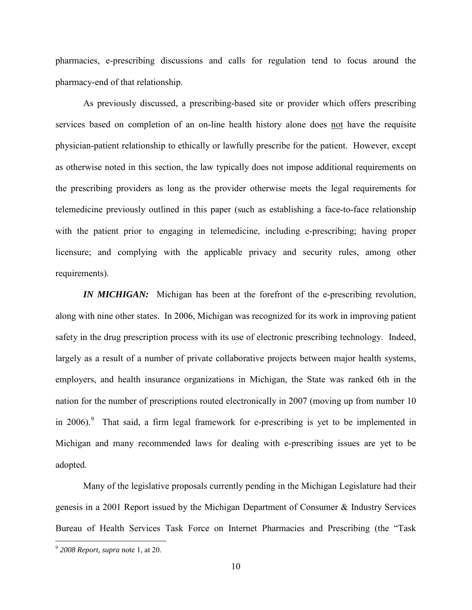pharmacies, e-prescribing discussions and calls for regulation tend to focus around the pharmacy-end of that relationship.

As previously discussed, a prescribing-based site or provider which offers prescribing services based on completion of an on-line health history alone does not have the requisite physician-patient relationship to ethically or lawfully prescribe for the patient. However, except as otherwise noted in this section, the law typically does not impose additional requirements on the prescribing providers as long as the provider otherwise meets the legal requirements for telemedicine previously outlined in this paper (such as establishing a face-to-face relationship with the patient prior to engaging in telemedicine, including e-prescribing; having proper licensure; and complying with the applicable privacy and security rules, among other requirements).

*IN MICHIGAN:* Michigan has been at the forefront of the e-prescribing revolution, along with nine other states. In 2006, Michigan was recognized for its work in improving patient safety in the drug prescription process with its use of electronic prescribing technology. Indeed, largely as a result of a number of private collaborative projects between major health systems, employers, and health insurance organizations in Michigan, the State was ranked 6th in the nation for the number of prescriptions routed electronically in 2007 (moving up from number 10 in 2006). That said, a firm legal framework for e-prescribing is yet to be implemented in Michigan and many recommended laws for dealing with e-prescribing issues are yet to be adopted.

Many of the legislative proposals currently pending in the Michigan Legislature had their genesis in a 2001 Report issued by the Michigan Department of Consumer & Industry Services Bureau of Health Services Task Force on Internet Pharmacies and Prescribing (the "Task

<span id="page-9-0"></span><sup>9</sup> *2008 Report, supra* note 1, at 20.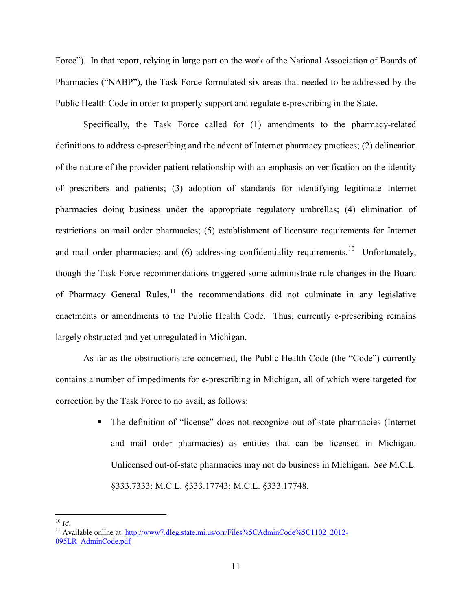Force"). In that report, relying in large part on the work of the National Association of Boards of Pharmacies ("NABP"), the Task Force formulated six areas that needed to be addressed by the Public Health Code in order to properly support and regulate e-prescribing in the State.

Specifically, the Task Force called for (1) amendments to the pharmacy-related definitions to address e-prescribing and the advent of Internet pharmacy practices; (2) delineation of the nature of the provider-patient relationship with an emphasis on verification on the identity of prescribers and patients; (3) adoption of standards for identifying legitimate Internet pharmacies doing business under the appropriate regulatory umbrellas; (4) elimination of restrictions on mail order pharmacies; (5) establishment of licensure requirements for Internet and mail order pharmacies; and (6) addressing confidentiality requirements.<sup>[10](#page-10-0)</sup> Unfortunately, though the Task Force recommendations triggered some administrate rule changes in the Board of Pharmacy General Rules,<sup>[11](#page-10-1)</sup> the recommendations did not culminate in any legislative enactments or amendments to the Public Health Code. Thus, currently e-prescribing remains largely obstructed and yet unregulated in Michigan.

As far as the obstructions are concerned, the Public Health Code (the "Code") currently contains a number of impediments for e-prescribing in Michigan, all of which were targeted for correction by the Task Force to no avail, as follows:

> The definition of "license" does not recognize out-of-state pharmacies (Internet and mail order pharmacies) as entities that can be licensed in Michigan. Unlicensed out-of-state pharmacies may not do business in Michigan. *See* M.C.L. §333.7333; M.C.L. §333.17743; M.C.L. §333.17748.

<span id="page-10-0"></span> $10$   $Id$ .

<span id="page-10-1"></span><sup>&</sup>lt;sup>11</sup> Available online at: [http://www7.dleg.state.mi.us/orr/Files%5CAdminCode%5C1102\\_2012-](http://www7.dleg.state.mi.us/orr/Files%5CAdminCode%5C1102_2012-095LR_AdminCode.pdf) [095LR\\_AdminCode.pdf](http://www7.dleg.state.mi.us/orr/Files%5CAdminCode%5C1102_2012-095LR_AdminCode.pdf)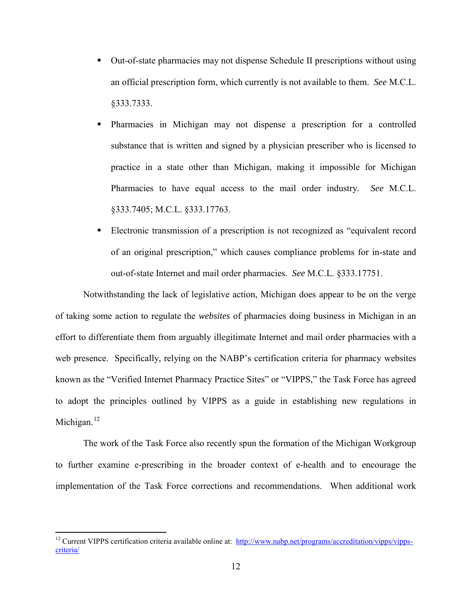- Out-of-state pharmacies may not dispense Schedule II prescriptions without using an official prescription form, which currently is not available to them. *See* M.C.L. §333.7333.
- Pharmacies in Michigan may not dispense a prescription for a controlled substance that is written and signed by a physician prescriber who is licensed to practice in a state other than Michigan, making it impossible for Michigan Pharmacies to have equal access to the mail order industry. *See* M.C.L. §333.7405; M.C.L. §333.17763.
- Electronic transmission of a prescription is not recognized as "equivalent record of an original prescription," which causes compliance problems for in-state and out-of-state Internet and mail order pharmacies. *See* M.C.L. §333.17751.

Notwithstanding the lack of legislative action, Michigan does appear to be on the verge of taking some action to regulate the *websites* of pharmacies doing business in Michigan in an effort to differentiate them from arguably illegitimate Internet and mail order pharmacies with a web presence. Specifically, relying on the NABP's certification criteria for pharmacy websites known as the "Verified Internet Pharmacy Practice Sites" or "VIPPS," the Task Force has agreed to adopt the principles outlined by VIPPS as a guide in establishing new regulations in Michigan.<sup>[12](#page-11-0)</sup>

The work of the Task Force also recently spun the formation of the Michigan Workgroup to further examine e-prescribing in the broader context of e-health and to encourage the implementation of the Task Force corrections and recommendations. When additional work

<span id="page-11-0"></span><sup>&</sup>lt;sup>12</sup> Current VIPPS certification criteria available online at: [http://www.nabp.net/programs/accreditation/vipps/vipps](http://www.nabp.net/programs/accreditation/vipps/vipps-criteria/)[criteria/](http://www.nabp.net/programs/accreditation/vipps/vipps-criteria/)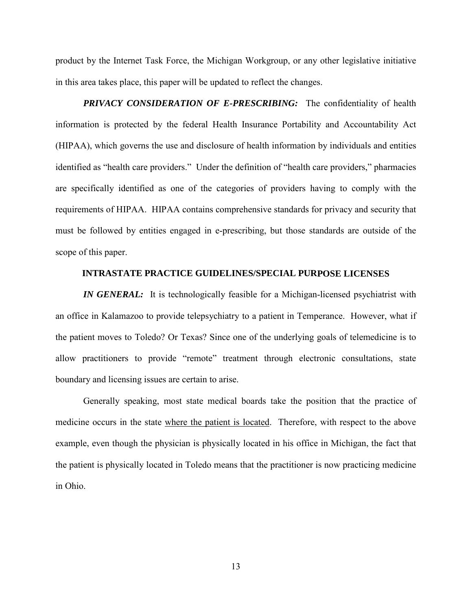product by the Internet Task Force, the Michigan Workgroup, or any other legislative initiative in this area takes place, this paper will be updated to reflect the changes.

*PRIVACY CONSIDERATION OF E-PRESCRIBING:* The confidentiality of health information is protected by the federal Health Insurance Portability and Accountability Act (HIPAA), which governs the use and disclosure of health information by individuals and entities identified as "health care providers." Under the definition of "health care providers," pharmacies are specifically identified as one of the categories of providers having to comply with the requirements of HIPAA. HIPAA contains comprehensive standards for privacy and security that must be followed by entities engaged in e-prescribing, but those standards are outside of the scope of this paper.

### **INTRASTATE PRACTICE GUIDELINES/SPECIAL PURPOSE LICENSES**

*IN GENERAL:* It is technologically feasible for a Michigan-licensed psychiatrist with an office in Kalamazoo to provide telepsychiatry to a patient in Temperance. However, what if the patient moves to Toledo? Or Texas? Since one of the underlying goals of telemedicine is to allow practitioners to provide "remote" treatment through electronic consultations, state boundary and licensing issues are certain to arise.

Generally speaking, most state medical boards take the position that the practice of medicine occurs in the state where the patient is located. Therefore, with respect to the above example, even though the physician is physically located in his office in Michigan, the fact that the patient is physically located in Toledo means that the practitioner is now practicing medicine in Ohio.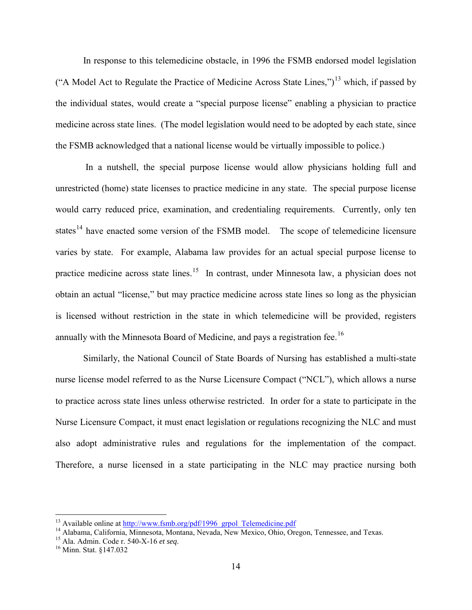In response to this telemedicine obstacle, in 1996 the FSMB endorsed model legislation ("A Model Act to Regulate the Practice of Medicine Across State Lines,")<sup>[13](#page-13-0)</sup> which, if passed by the individual states, would create a "special purpose license" enabling a physician to practice medicine across state lines. (The model legislation would need to be adopted by each state, since the FSMB acknowledged that a national license would be virtually impossible to police.)

In a nutshell, the special purpose license would allow physicians holding full and unrestricted (home) state licenses to practice medicine in any state. The special purpose license would carry reduced price, examination, and credentialing requirements. Currently, only ten states<sup>[14](#page-13-1)</sup> have enacted some version of the FSMB model. The scope of telemedicine licensure varies by state. For example, Alabama law provides for an actual special purpose license to practice medicine across state lines.<sup>[15](#page-13-2)</sup> In contrast, under Minnesota law, a physician does not obtain an actual "license," but may practice medicine across state lines so long as the physician is licensed without restriction in the state in which telemedicine will be provided, registers annually with the Minnesota Board of Medicine, and pays a registration fee.<sup>[16](#page-13-3)</sup>

Similarly, the National Council of State Boards of Nursing has established a multi-state nurse license model referred to as the Nurse Licensure Compact ("NCL"), which allows a nurse to practice across state lines unless otherwise restricted. In order for a state to participate in the Nurse Licensure Compact, it must enact legislation or regulations recognizing the NLC and must also adopt administrative rules and regulations for the implementation of the compact. Therefore, a nurse licensed in a state participating in the NLC may practice nursing both

<span id="page-13-1"></span><span id="page-13-0"></span><sup>&</sup>lt;sup>13</sup> Available online at <u>http://www.fsmb.org/pdf/1996\_grpol\_Telemedicine.pdf</u><br><sup>14</sup> Alabama, California, Minnesota, Montana, Nevada, New Mexico, Ohio, Oregon, Tennessee, and Texas.

<span id="page-13-2"></span><sup>15</sup> Ala. Admin. Code r. 540-X-16 *et seq*. 16 Minn. Stat. §147.032

<span id="page-13-3"></span>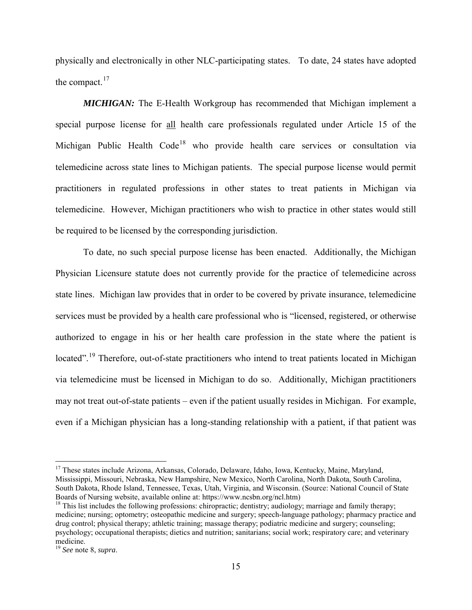physically and electronically in other NLC-participating states. To date, 24 states have adopted the compact. $17$ 

*MICHIGAN:* The E-Health Workgroup has recommended that Michigan implement a special purpose license for all health care professionals regulated under Article 15 of the Michigan Public Health Code<sup>[18](#page-14-1)</sup> who provide health care services or consultation via telemedicine across state lines to Michigan patients. The special purpose license would permit practitioners in regulated professions in other states to treat patients in Michigan via telemedicine. However, Michigan practitioners who wish to practice in other states would still be required to be licensed by the corresponding jurisdiction.

To date, no such special purpose license has been enacted. Additionally, the Michigan Physician Licensure statute does not currently provide for the practice of telemedicine across state lines. Michigan law provides that in order to be covered by private insurance, telemedicine services must be provided by a health care professional who is "licensed, registered, or otherwise authorized to engage in his or her health care profession in the state where the patient is located".<sup>[19](#page-14-2)</sup> Therefore, out-of-state practitioners who intend to treat patients located in Michigan via telemedicine must be licensed in Michigan to do so. Additionally, Michigan practitioners may not treat out-of-state patients – even if the patient usually resides in Michigan. For example, even if a Michigan physician has a long-standing relationship with a patient, if that patient was

<span id="page-14-0"></span> $\overline{a}$ <sup>17</sup> These states include Arizona, Arkansas, Colorado, Delaware, Idaho, Iowa, Kentucky, Maine, Maryland, Mississippi, Missouri, Nebraska, New Hampshire, New Mexico, North Carolina, North Dakota, South Carolina, South Dakota, Rhode Island, Tennessee, Texas, Utah, Virginia, and Wisconsin. (Source: National Council of State Boards of Nursing website, available online at: https://www.ncsbn.org/ncl.htm)

<span id="page-14-1"></span><sup>&</sup>lt;sup>18</sup> This list includes the following professions: chiropractic; dentistry; audiology; marriage and family therapy; medicine; nursing; optometry; osteopathic medicine and surgery; speech-language pathology; pharmacy practice and drug control; physical therapy; athletic training; massage therapy; podiatric medicine and surgery; counseling; psychology; occupational therapists; dietics and nutrition; sanitarians; social work; respiratory care; and veterinary medicine.

<span id="page-14-2"></span><sup>19</sup> *See* note 8, *supra*.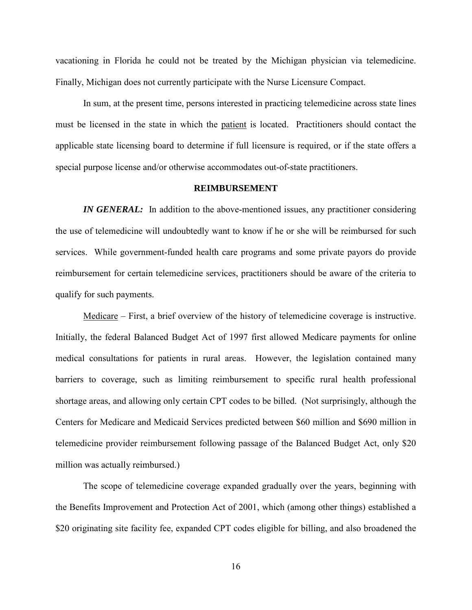vacationing in Florida he could not be treated by the Michigan physician via telemedicine. Finally, Michigan does not currently participate with the Nurse Licensure Compact.

In sum, at the present time, persons interested in practicing telemedicine across state lines must be licensed in the state in which the patient is located. Practitioners should contact the applicable state licensing board to determine if full licensure is required, or if the state offers a special purpose license and/or otherwise accommodates out-of-state practitioners.

#### **REIMBURSEMENT**

*IN GENERAL:* In addition to the above-mentioned issues, any practitioner considering the use of telemedicine will undoubtedly want to know if he or she will be reimbursed for such services. While government-funded health care programs and some private payors do provide reimbursement for certain telemedicine services, practitioners should be aware of the criteria to qualify for such payments.

Medicare – First, a brief overview of the history of telemedicine coverage is instructive. Initially, the federal Balanced Budget Act of 1997 first allowed Medicare payments for online medical consultations for patients in rural areas. However, the legislation contained many barriers to coverage, such as limiting reimbursement to specific rural health professional shortage areas, and allowing only certain CPT codes to be billed. (Not surprisingly, although the Centers for Medicare and Medicaid Services predicted between \$60 million and \$690 million in telemedicine provider reimbursement following passage of the Balanced Budget Act, only \$20 million was actually reimbursed.)

The scope of telemedicine coverage expanded gradually over the years, beginning with the Benefits Improvement and Protection Act of 2001, which (among other things) established a \$20 originating site facility fee, expanded CPT codes eligible for billing, and also broadened the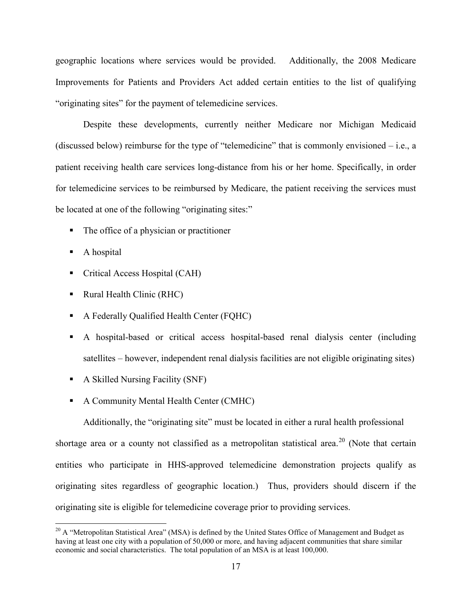geographic locations where services would be provided. Additionally, the 2008 Medicare Improvements for Patients and Providers Act added certain entities to the list of qualifying "originating sites" for the payment of telemedicine services.

Despite these developments, currently neither Medicare nor Michigan Medicaid (discussed below) reimburse for the type of "telemedicine" that is commonly envisioned  $-$  i.e., a patient receiving health care services long-distance from his or her home. Specifically, in order for telemedicine services to be reimbursed by Medicare, the patient receiving the services must be located at one of the following "originating sites:"

- The office of a physician or practitioner
- A hospital

 $\overline{a}$ 

- Critical Access Hospital (CAH)
- Rural Health Clinic (RHC)
- A Federally Qualified Health Center (FQHC)
- A hospital-based or critical access hospital-based renal dialysis center (including satellites – however, independent renal dialysis facilities are not eligible originating sites)
- A Skilled Nursing Facility  $(SNF)$
- A Community Mental Health Center (CMHC)

Additionally, the "originating site" must be located in either a rural health professional shortage area or a county not classified as a metropolitan statistical area.<sup>[20](#page-16-0)</sup> (Note that certain entities who participate in HHS-approved telemedicine demonstration projects qualify as

originating sites regardless of geographic location.) Thus, providers should discern if the originating site is eligible for telemedicine coverage prior to providing services.

<span id="page-16-0"></span> $^{20}$  A "Metropolitan Statistical Area" (MSA) is defined by the United States Office of Management and Budget as having at least one city with a population of 50,000 or more, and having adjacent communities that share similar economic and social characteristics. The total population of an MSA is at least 100,000.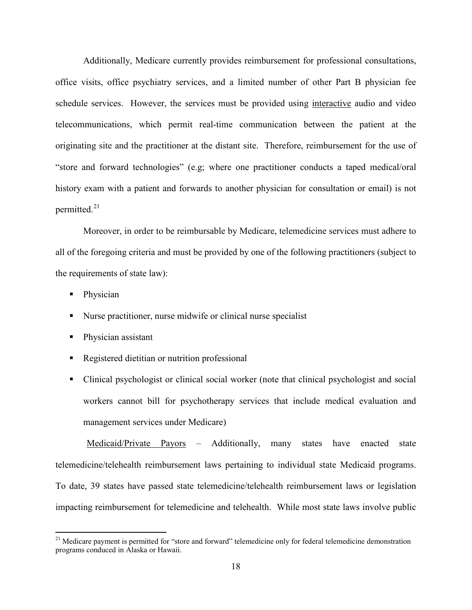Additionally, Medicare currently provides reimbursement for professional consultations, office visits, office psychiatry services, and a limited number of other Part B physician fee schedule services. However, the services must be provided using interactive audio and video telecommunications, which permit real-time communication between the patient at the originating site and the practitioner at the distant site. Therefore, reimbursement for the use of "store and forward technologies" (e.g; where one practitioner conducts a taped medical/oral history exam with a patient and forwards to another physician for consultation or email) is not permitted.<sup>[21](#page-17-0)</sup>

Moreover, in order to be reimbursable by Medicare, telemedicine services must adhere to all of the foregoing criteria and must be provided by one of the following practitioners (subject to the requirements of state law):

• Physician

 $\overline{a}$ 

- Nurse practitioner, nurse midwife or clinical nurse specialist
- Physician assistant
- Registered dietitian or nutrition professional
- Clinical psychologist or clinical social worker (note that clinical psychologist and social workers cannot bill for psychotherapy services that include medical evaluation and management services under Medicare)

Medicaid/Private Payors – Additionally, many states have enacted state telemedicine/telehealth reimbursement laws pertaining to individual state Medicaid programs. To date, 39 states have passed state telemedicine/telehealth reimbursement laws or legislation impacting reimbursement for telemedicine and telehealth. While most state laws involve public

<span id="page-17-0"></span><sup>&</sup>lt;sup>21</sup> Medicare payment is permitted for "store and forward" telemedicine only for federal telemedicine demonstration programs conduced in Alaska or Hawaii.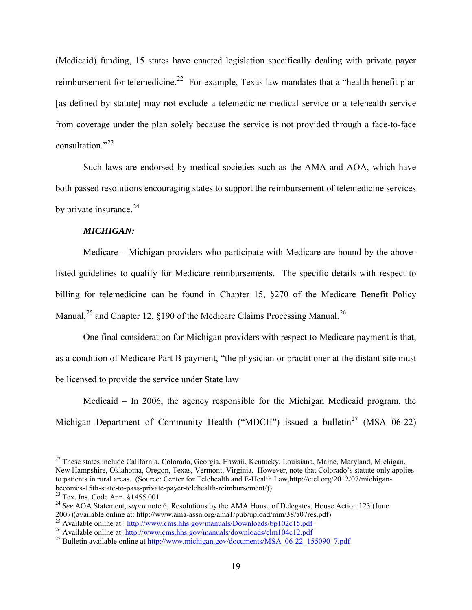(Medicaid) funding, 15 states have enacted legislation specifically dealing with private payer reimbursement for telemedicine.<sup>22</sup> For example, Texas law mandates that a "health benefit plan [as defined by statute] may not exclude a telemedicine medical service or a telehealth service from coverage under the plan solely because the service is not provided through a face-to-face consultation."<sup>[23](#page-18-1)</sup>

Such laws are endorsed by medical societies such as the AMA and AOA, which have both passed resolutions encouraging states to support the reimbursement of telemedicine services by private insurance.<sup>[24](#page-18-2)</sup>

## *MICHIGAN:*

Medicare – Michigan providers who participate with Medicare are bound by the abovelisted guidelines to qualify for Medicare reimbursements. The specific details with respect to billing for telemedicine can be found in Chapter 15, §270 of the Medicare Benefit Policy Manual,<sup>[25](#page-18-3)</sup> and Chapter 12, §190 of the Medicare Claims Processing Manual.<sup>[26](#page-18-4)</sup>

One final consideration for Michigan providers with respect to Medicare payment is that, as a condition of Medicare Part B payment, "the physician or practitioner at the distant site must be licensed to provide the service under State law

Medicaid – In 2006, the agency responsible for the Michigan Medicaid program, the Michigan Department of Community Health ("MDCH") issued a bulletin<sup>[27](#page-18-5)</sup> (MSA 06-22)

<span id="page-18-0"></span><sup>&</sup>lt;sup>22</sup> These states include California, Colorado, Georgia, Hawaii, Kentucky, Louisiana, Maine, Maryland, Michigan, New Hampshire, Oklahoma, Oregon, Texas, Vermont, Virginia. However, note that Colorado's statute only applies to patients in rural areas. (Source: Center for Telehealth and E-Health Law,http://ctel.org/2012/07/michiganbecomes-15th-state-to-pass-private-payer-telehealth-reimbursement/))<br><sup>23</sup> Tex. Ins. Code Ann. §1455.001

<span id="page-18-1"></span>

<span id="page-18-2"></span><sup>&</sup>lt;sup>24</sup> See AOA Statement, *supra* note 6; Resolutions by the AMA House of Delegates, House Action 123 (June 2007)(available online at: http://www.ama-assn.org/ama1/pub/upload/mm/38/a07res.pdf)

<span id="page-18-3"></span><sup>&</sup>lt;sup>25</sup> Available online at: <http://www.cms.hhs.gov/manuals/Downloads/bp102c15.pdf>

<span id="page-18-4"></span><sup>&</sup>lt;sup>26</sup> Available online at:<http://www.cms.hhs.gov/manuals/downloads/clm104c12.pdf>

<span id="page-18-5"></span><sup>&</sup>lt;sup>27</sup> Bulletin available online at [http://www.michigan.gov/documents/MSA\\_06-22\\_155090\\_7.pdf](http://www.michigan.gov/documents/MSA_06-22_155090_7.pdf)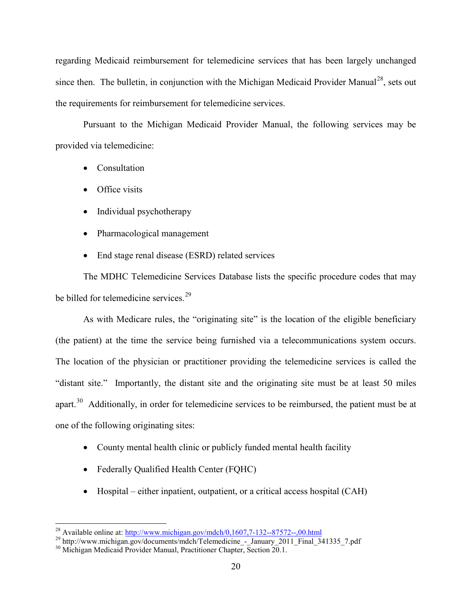regarding Medicaid reimbursement for telemedicine services that has been largely unchanged since then. The bulletin, in conjunction with the Michigan Medicaid Provider Manual<sup>[28](#page-19-0)</sup>, sets out the requirements for reimbursement for telemedicine services.

Pursuant to the Michigan Medicaid Provider Manual, the following services may be provided via telemedicine:

- Consultation
- Office visits
- Individual psychotherapy
- Pharmacological management
- End stage renal disease (ESRD) related services

The MDHC Telemedicine Services Database lists the specific procedure codes that may be billed for telemedicine services.<sup>[29](#page-19-1)</sup>

As with Medicare rules, the "originating site" is the location of the eligible beneficiary (the patient) at the time the service being furnished via a telecommunications system occurs. The location of the physician or practitioner providing the telemedicine services is called the "distant site." Importantly, the distant site and the originating site must be at least 50 miles apart.<sup>[30](#page-19-2)</sup> Additionally, in order for telemedicine services to be reimbursed, the patient must be at one of the following originating sites:

- County mental health clinic or publicly funded mental health facility
- Federally Qualified Health Center (FQHC)
- Hospital either inpatient, outpatient, or a critical access hospital (CAH)

<span id="page-19-0"></span><sup>&</sup>lt;sup>28</sup> Available online at:  $\frac{http://www.michigan.gov/mdch/0,1607,7-132--87572--,00.html}{http://www.michigan.gov/documents/mdch/Telementicine_ -January_2011_Final_341335_7.pdf}$ 

<span id="page-19-2"></span><span id="page-19-1"></span><sup>&</sup>lt;sup>30</sup> Michigan Medicaid Provider Manual, Practitioner Chapter, Section 20.1.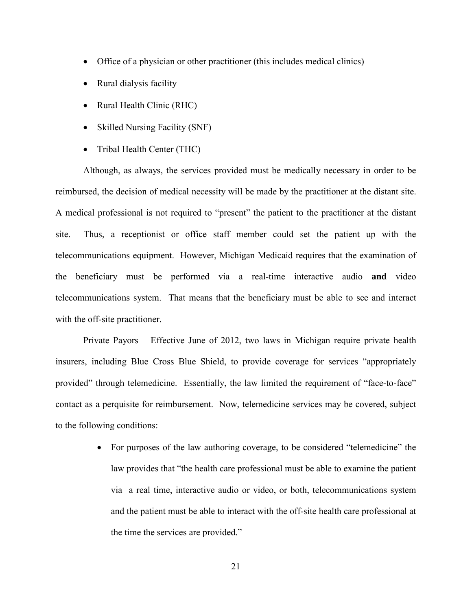- Office of a physician or other practitioner (this includes medical clinics)
- Rural dialysis facility
- Rural Health Clinic (RHC)
- Skilled Nursing Facility (SNF)
- Tribal Health Center (THC)

Although, as always, the services provided must be medically necessary in order to be reimbursed, the decision of medical necessity will be made by the practitioner at the distant site. A medical professional is not required to "present" the patient to the practitioner at the distant site. Thus, a receptionist or office staff member could set the patient up with the telecommunications equipment. However, Michigan Medicaid requires that the examination of the beneficiary must be performed via a real-time interactive audio **and** video telecommunications system. That means that the beneficiary must be able to see and interact with the off-site practitioner.

Private Payors – Effective June of 2012, two laws in Michigan require private health insurers, including Blue Cross Blue Shield, to provide coverage for services "appropriately provided" through telemedicine. Essentially, the law limited the requirement of "face-to-face" contact as a perquisite for reimbursement. Now, telemedicine services may be covered, subject to the following conditions:

> • For purposes of the law authoring coverage, to be considered "telemedicine" the law provides that "the health care professional must be able to examine the patient via a real time, interactive audio or video, or both, telecommunications system and the patient must be able to interact with the off-site health care professional at the time the services are provided."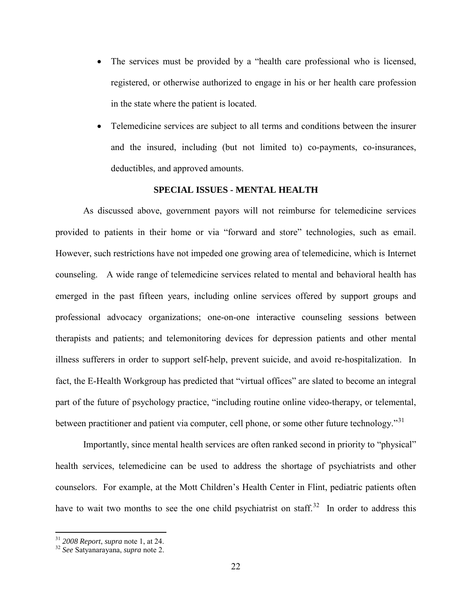- The services must be provided by a "health care professional who is licensed, registered, or otherwise authorized to engage in his or her health care profession in the state where the patient is located.
- Telemedicine services are subject to all terms and conditions between the insurer and the insured, including (but not limited to) co-payments, co-insurances, deductibles, and approved amounts.

# **SPECIAL ISSUES - MENTAL HEALTH**

As discussed above, government payors will not reimburse for telemedicine services provided to patients in their home or via "forward and store" technologies, such as email. However, such restrictions have not impeded one growing area of telemedicine, which is Internet counseling. A wide range of telemedicine services related to mental and behavioral health has emerged in the past fifteen years, including online services offered by support groups and professional advocacy organizations; one-on-one interactive counseling sessions between therapists and patients; and telemonitoring devices for depression patients and other mental illness sufferers in order to support self-help, prevent suicide, and avoid re-hospitalization. In fact, the E-Health Workgroup has predicted that "virtual offices" are slated to become an integral part of the future of psychology practice, "including routine online video-therapy, or telemental, between practitioner and patient via computer, cell phone, or some other future technology."<sup>[31](#page-21-0)</sup>

Importantly, since mental health services are often ranked second in priority to "physical" health services, telemedicine can be used to address the shortage of psychiatrists and other counselors. For example, at the Mott Children's Health Center in Flint, pediatric patients often have to wait two months to see the one child psychiatrist on staff.<sup>[32](#page-21-1)</sup> In order to address this

<sup>31</sup> *2008 Report*, *supra* note 1, at 24.

<span id="page-21-1"></span><span id="page-21-0"></span><sup>32</sup> *See* Satyanarayana, *supra* note 2.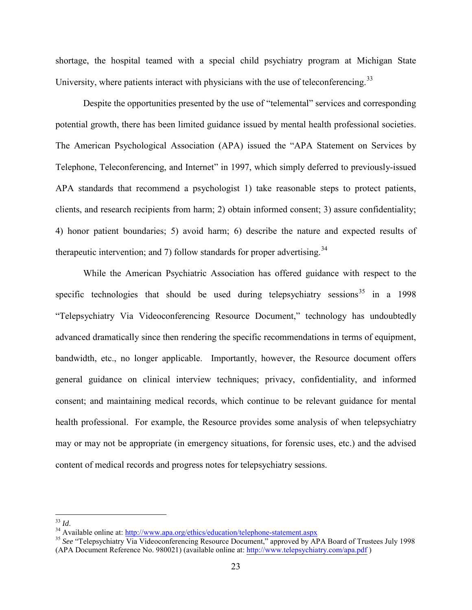shortage, the hospital teamed with a special child psychiatry program at Michigan State University, where patients interact with physicians with the use of teleconferencing.<sup>[33](#page-22-0)</sup>

 Despite the opportunities presented by the use of "telemental" services and corresponding potential growth, there has been limited guidance issued by mental health professional societies. The American Psychological Association (APA) issued the "APA Statement on Services by Telephone, Teleconferencing, and Internet" in 1997, which simply deferred to previously-issued APA standards that recommend a psychologist 1) take reasonable steps to protect patients, clients, and research recipients from harm; 2) obtain informed consent; 3) assure confidentiality; 4) honor patient boundaries; 5) avoid harm; 6) describe the nature and expected results of therapeutic intervention; and 7) follow standards for proper advertising.<sup>[34](#page-22-1)</sup>

While the American Psychiatric Association has offered guidance with respect to the specific technologies that should be used during telepsychiatry sessions<sup>[35](#page-22-2)</sup> in a 1998 "Telepsychiatry Via Videoconferencing Resource Document," technology has undoubtedly advanced dramatically since then rendering the specific recommendations in terms of equipment, bandwidth, etc., no longer applicable. Importantly, however, the Resource document offers general guidance on clinical interview techniques; privacy, confidentiality, and informed consent; and maintaining medical records, which continue to be relevant guidance for mental health professional. For example, the Resource provides some analysis of when telepsychiatry may or may not be appropriate (in emergency situations, for forensic uses, etc.) and the advised content of medical records and progress notes for telepsychiatry sessions.

 $\overline{a}$ <sup>33</sup> *Id*.

<span id="page-22-0"></span><sup>&</sup>lt;sup>34</sup> Available online at:<http://www.apa.org/ethics/education/telephone-statement.aspx>

<span id="page-22-2"></span><span id="page-22-1"></span><sup>&</sup>lt;sup>35</sup> See "Telepsychiatry Via Videoconferencing Resource Document," approved by APA Board of Trustees July 1998 (APA Document Reference No. 980021) (available online at: [http://www.telepsychiatry.com/apa.pdf \)](http://www.telepsychiatry.com/apa.pdf)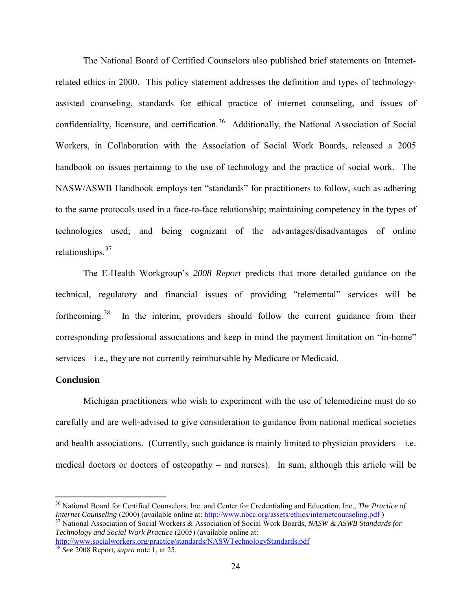The National Board of Certified Counselors also published brief statements on Internetrelated ethics in 2000. This policy statement addresses the definition and types of technologyassisted counseling, standards for ethical practice of internet counseling, and issues of confidentiality, licensure, and certification.<sup>36</sup> Additionally, the National Association of Social Workers, in Collaboration with the Association of Social Work Boards, released a 2005 handbook on issues pertaining to the use of technology and the practice of social work. The NASW/ASWB Handbook employs ten "standards" for practitioners to follow, such as adhering to the same protocols used in a face-to-face relationship; maintaining competency in the types of technologies used; and being cognizant of the advantages/disadvantages of online relationships.<sup>[37](#page-23-1)</sup>

The E-Health Workgroup's *2008 Report* predicts that more detailed guidance on the technical, regulatory and financial issues of providing "telemental" services will be forthcoming.<sup>[38](#page-23-2)</sup> In the interim, providers should follow the current guidance from their corresponding professional associations and keep in mind the payment limitation on "in-home" services – i.e., they are not currently reimbursable by Medicare or Medicaid.

### **Conclusion**

 $\overline{a}$ 

Michigan practitioners who wish to experiment with the use of telemedicine must do so carefully and are well-advised to give consideration to guidance from national medical societies and health associations. (Currently, such guidance is mainly limited to physician providers  $-$  i.e. medical doctors or doctors of osteopathy – and nurses). In sum, although this article will be

<span id="page-23-0"></span><sup>36</sup> National Board for Certified Counselors, Inc. and Center for Credentialing and Education, Inc., *The Practice of Internet Counseling* (2000) (available online at: http://www.nbcc.org/assets/ethics/internetcounseling.pdf)

<span id="page-23-1"></span><sup>37</sup> National Association of Social Workers & Association of Social Work Boards, *NASW & ASWB Standards for Technology and Social Work Practice* (2005) (available online at: <http://www.socialworkers.org/practice/standards/NASWTechnologyStandards.pdf>

<span id="page-23-2"></span><sup>38</sup> *See* 2008 Report, *supra* note 1, at 25.